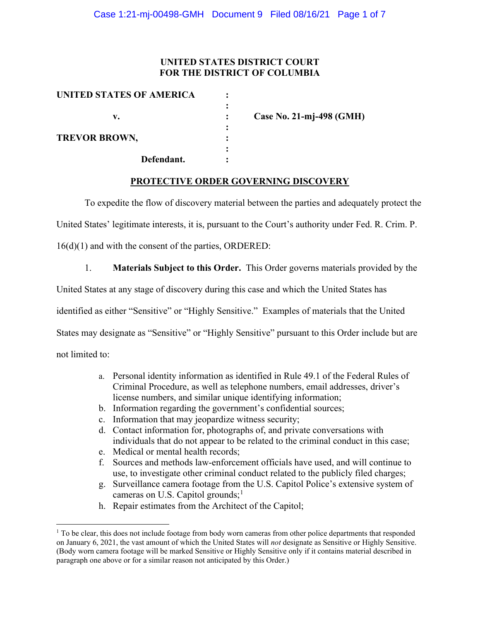# **UNITED STATES DISTRICT COURT FOR THE DISTRICT OF COLUMBIA**

| UNITED STATES OF AMERICA |   |                          |
|--------------------------|---|--------------------------|
| v.                       |   | Case No. 21-mj-498 (GMH) |
| <b>TREVOR BROWN,</b>     |   |                          |
| Defendant.               | ٠ |                          |

## **PROTECTIVE ORDER GOVERNING DISCOVERY**

To expedite the flow of discovery material between the parties and adequately protect the

United States' legitimate interests, it is, pursuant to the Court's authority under Fed. R. Crim. P.

16(d)(1) and with the consent of the parties, ORDERED:

1. **Materials Subject to this Order.** This Order governs materials provided by the

United States at any stage of discovery during this case and which the United States has

identified as either "Sensitive" or "Highly Sensitive." Examples of materials that the United

States may designate as "Sensitive" or "Highly Sensitive" pursuant to this Order include but are

not limited to:

- a. Personal identity information as identified in Rule 49.1 of the Federal Rules of Criminal Procedure, as well as telephone numbers, email addresses, driver's license numbers, and similar unique identifying information;
- b. Information regarding the government's confidential sources;
- c. Information that may jeopardize witness security;
- d. Contact information for, photographs of, and private conversations with individuals that do not appear to be related to the criminal conduct in this case;
- e. Medical or mental health records;
- f. Sources and methods law-enforcement officials have used, and will continue to use, to investigate other criminal conduct related to the publicly filed charges;
- g. Surveillance camera footage from the U.S. Capitol Police's extensive system of cameras on U.S. Capitol grounds;<sup>1</sup>
- h. Repair estimates from the Architect of the Capitol;

 $1$  To be clear, this does not include footage from body worn cameras from other police departments that responded on January 6, 2021, the vast amount of which the United States will *not* designate as Sensitive or Highly Sensitive. (Body worn camera footage will be marked Sensitive or Highly Sensitive only if it contains material described in paragraph one above or for a similar reason not anticipated by this Order.)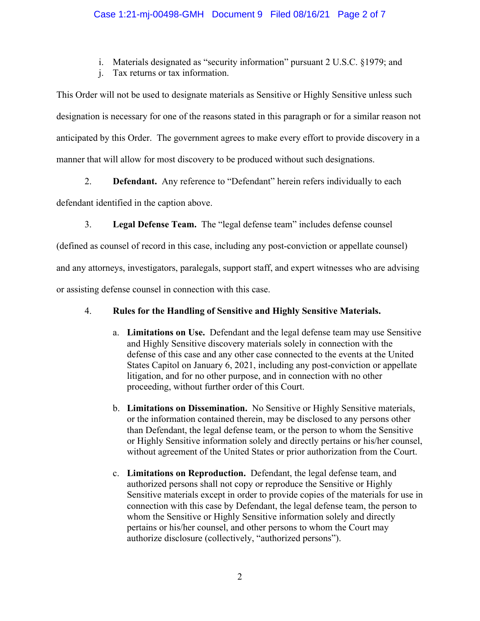# Case 1:21-mj-00498-GMH Document 9 Filed 08/16/21 Page 2 of 7

i. Materials designated as "security information" pursuant 2 U.S.C. §1979; and

j. Tax returns or tax information.

This Order will not be used to designate materials as Sensitive or Highly Sensitive unless such designation is necessary for one of the reasons stated in this paragraph or for a similar reason not anticipated by this Order. The government agrees to make every effort to provide discovery in a manner that will allow for most discovery to be produced without such designations.

2. **Defendant.** Any reference to "Defendant" herein refers individually to each

defendant identified in the caption above.

3. **Legal Defense Team.** The "legal defense team" includes defense counsel

(defined as counsel of record in this case, including any post-conviction or appellate counsel)

and any attorneys, investigators, paralegals, support staff, and expert witnesses who are advising

or assisting defense counsel in connection with this case.

## 4. **Rules for the Handling of Sensitive and Highly Sensitive Materials.**

- a. **Limitations on Use.** Defendant and the legal defense team may use Sensitive and Highly Sensitive discovery materials solely in connection with the defense of this case and any other case connected to the events at the United States Capitol on January 6, 2021, including any post-conviction or appellate litigation, and for no other purpose, and in connection with no other proceeding, without further order of this Court.
- b. **Limitations on Dissemination.** No Sensitive or Highly Sensitive materials, or the information contained therein, may be disclosed to any persons other than Defendant, the legal defense team, or the person to whom the Sensitive or Highly Sensitive information solely and directly pertains or his/her counsel, without agreement of the United States or prior authorization from the Court.
- c. **Limitations on Reproduction.** Defendant, the legal defense team, and authorized persons shall not copy or reproduce the Sensitive or Highly Sensitive materials except in order to provide copies of the materials for use in connection with this case by Defendant, the legal defense team, the person to whom the Sensitive or Highly Sensitive information solely and directly pertains or his/her counsel, and other persons to whom the Court may authorize disclosure (collectively, "authorized persons").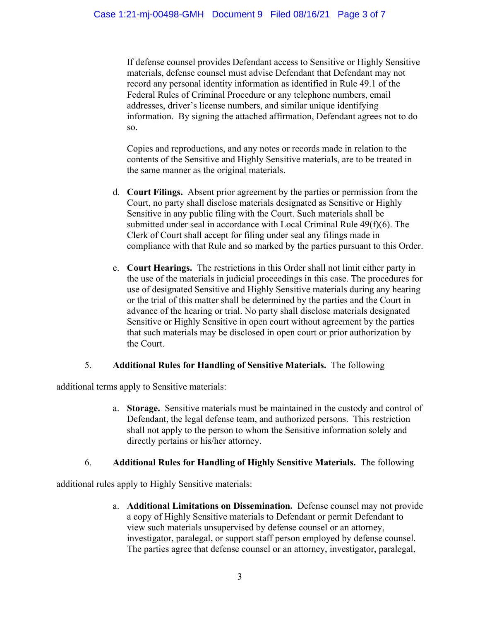If defense counsel provides Defendant access to Sensitive or Highly Sensitive materials, defense counsel must advise Defendant that Defendant may not record any personal identity information as identified in Rule 49.1 of the Federal Rules of Criminal Procedure or any telephone numbers, email addresses, driver's license numbers, and similar unique identifying information. By signing the attached affirmation, Defendant agrees not to do so.

Copies and reproductions, and any notes or records made in relation to the contents of the Sensitive and Highly Sensitive materials, are to be treated in the same manner as the original materials.

- d. **Court Filings.** Absent prior agreement by the parties or permission from the Court, no party shall disclose materials designated as Sensitive or Highly Sensitive in any public filing with the Court. Such materials shall be submitted under seal in accordance with Local Criminal Rule 49(f)(6). The Clerk of Court shall accept for filing under seal any filings made in compliance with that Rule and so marked by the parties pursuant to this Order.
- e. **Court Hearings.** The restrictions in this Order shall not limit either party in the use of the materials in judicial proceedings in this case. The procedures for use of designated Sensitive and Highly Sensitive materials during any hearing or the trial of this matter shall be determined by the parties and the Court in advance of the hearing or trial. No party shall disclose materials designated Sensitive or Highly Sensitive in open court without agreement by the parties that such materials may be disclosed in open court or prior authorization by the Court.

## 5. **Additional Rules for Handling of Sensitive Materials.** The following

additional terms apply to Sensitive materials:

a. **Storage.** Sensitive materials must be maintained in the custody and control of Defendant, the legal defense team, and authorized persons. This restriction shall not apply to the person to whom the Sensitive information solely and directly pertains or his/her attorney.

## 6. **Additional Rules for Handling of Highly Sensitive Materials.** The following

additional rules apply to Highly Sensitive materials:

a. **Additional Limitations on Dissemination.** Defense counsel may not provide a copy of Highly Sensitive materials to Defendant or permit Defendant to view such materials unsupervised by defense counsel or an attorney, investigator, paralegal, or support staff person employed by defense counsel. The parties agree that defense counsel or an attorney, investigator, paralegal,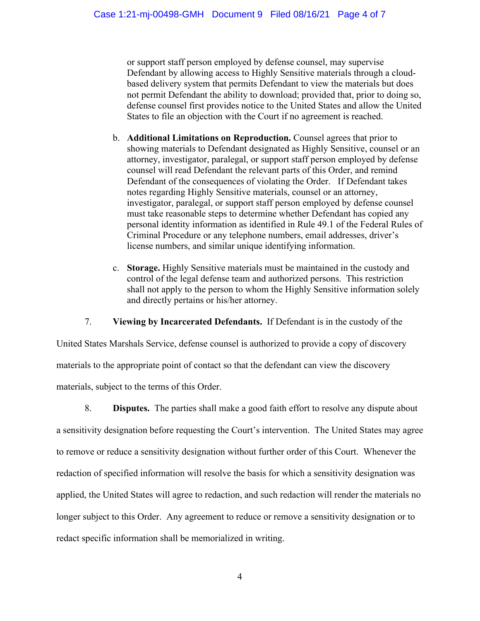or support staff person employed by defense counsel, may supervise Defendant by allowing access to Highly Sensitive materials through a cloudbased delivery system that permits Defendant to view the materials but does not permit Defendant the ability to download; provided that, prior to doing so, defense counsel first provides notice to the United States and allow the United States to file an objection with the Court if no agreement is reached.

- b. **Additional Limitations on Reproduction.** Counsel agrees that prior to showing materials to Defendant designated as Highly Sensitive, counsel or an attorney, investigator, paralegal, or support staff person employed by defense counsel will read Defendant the relevant parts of this Order, and remind Defendant of the consequences of violating the Order. If Defendant takes notes regarding Highly Sensitive materials, counsel or an attorney, investigator, paralegal, or support staff person employed by defense counsel must take reasonable steps to determine whether Defendant has copied any personal identity information as identified in Rule 49.1 of the Federal Rules of Criminal Procedure or any telephone numbers, email addresses, driver's license numbers, and similar unique identifying information.
- c. **Storage.** Highly Sensitive materials must be maintained in the custody and control of the legal defense team and authorized persons. This restriction shall not apply to the person to whom the Highly Sensitive information solely and directly pertains or his/her attorney.

7. **Viewing by Incarcerated Defendants.** If Defendant is in the custody of the

United States Marshals Service, defense counsel is authorized to provide a copy of discovery materials to the appropriate point of contact so that the defendant can view the discovery materials, subject to the terms of this Order.

8. **Disputes.** The parties shall make a good faith effort to resolve any dispute about a sensitivity designation before requesting the Court's intervention. The United States may agree to remove or reduce a sensitivity designation without further order of this Court. Whenever the redaction of specified information will resolve the basis for which a sensitivity designation was applied, the United States will agree to redaction, and such redaction will render the materials no longer subject to this Order. Any agreement to reduce or remove a sensitivity designation or to redact specific information shall be memorialized in writing.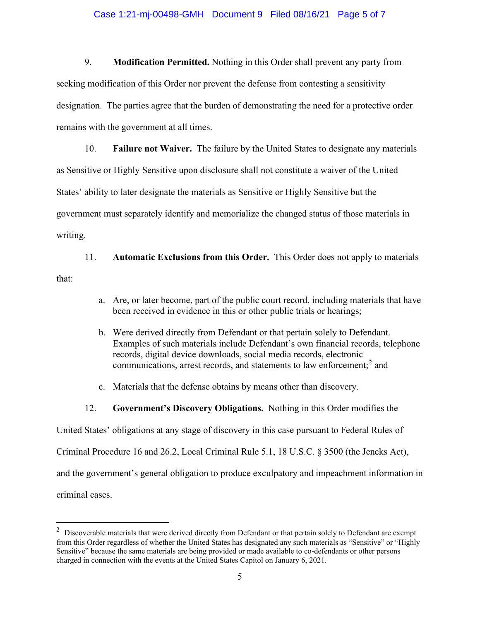#### Case 1:21-mj-00498-GMH Document 9 Filed 08/16/21 Page 5 of 7

9. **Modification Permitted.** Nothing in this Order shall prevent any party from seeking modification of this Order nor prevent the defense from contesting a sensitivity designation. The parties agree that the burden of demonstrating the need for a protective order remains with the government at all times.

10. **Failure not Waiver.** The failure by the United States to designate any materials as Sensitive or Highly Sensitive upon disclosure shall not constitute a waiver of the United States' ability to later designate the materials as Sensitive or Highly Sensitive but the government must separately identify and memorialize the changed status of those materials in writing.

11. **Automatic Exclusions from this Order.** This Order does not apply to materials that:

- a. Are, or later become, part of the public court record, including materials that have been received in evidence in this or other public trials or hearings;
- b. Were derived directly from Defendant or that pertain solely to Defendant. Examples of such materials include Defendant's own financial records, telephone records, digital device downloads, social media records, electronic communications, arrest records, and statements to law enforcement; <sup>2</sup> and
- c. Materials that the defense obtains by means other than discovery.
- 12. **Government's Discovery Obligations.** Nothing in this Order modifies the

United States' obligations at any stage of discovery in this case pursuant to Federal Rules of

Criminal Procedure 16 and 26.2, Local Criminal Rule 5.1, 18 U.S.C. § 3500 (the Jencks Act),

and the government's general obligation to produce exculpatory and impeachment information in

criminal cases.

 $2$  Discoverable materials that were derived directly from Defendant or that pertain solely to Defendant are exempt from this Order regardless of whether the United States has designated any such materials as "Sensitive" or "Highly Sensitive" because the same materials are being provided or made available to co-defendants or other persons charged in connection with the events at the United States Capitol on January 6, 2021.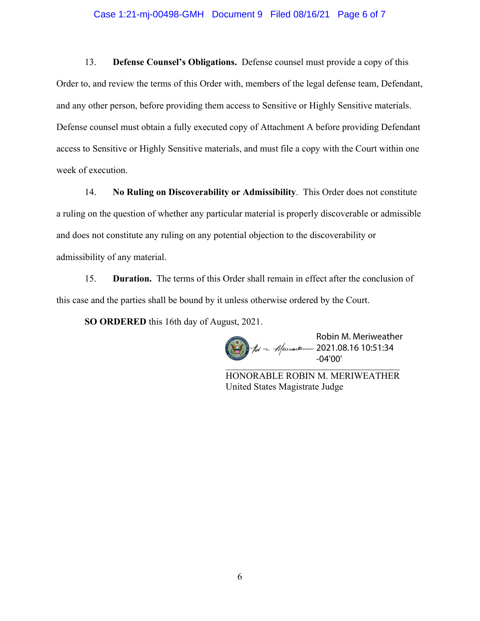#### Case 1:21-mj-00498-GMH Document 9 Filed 08/16/21 Page 6 of 7

13. **Defense Counsel's Obligations.** Defense counsel must provide a copy of this Order to, and review the terms of this Order with, members of the legal defense team, Defendant, and any other person, before providing them access to Sensitive or Highly Sensitive materials. Defense counsel must obtain a fully executed copy of Attachment A before providing Defendant access to Sensitive or Highly Sensitive materials, and must file a copy with the Court within one week of execution.

14. **No Ruling on Discoverability or Admissibility**. This Order does not constitute a ruling on the question of whether any particular material is properly discoverable or admissible and does not constitute any ruling on any potential objection to the discoverability or admissibility of any material.

15. **Duration.** The terms of this Order shall remain in effect after the conclusion of this case and the parties shall be bound by it unless otherwise ordered by the Court.

**SO ORDERED** this 16th day of August, 2021.

\_\_\_\_\_\_\_\_\_\_\_\_\_\_\_\_\_\_\_\_\_\_\_\_\_\_\_\_\_\_\_\_\_\_\_\_\_ Robin M. Meriweather 2021.08.16 10:51:34 -04'00'

HONORABLE ROBIN M. MERIWEATHER United States Magistrate Judge